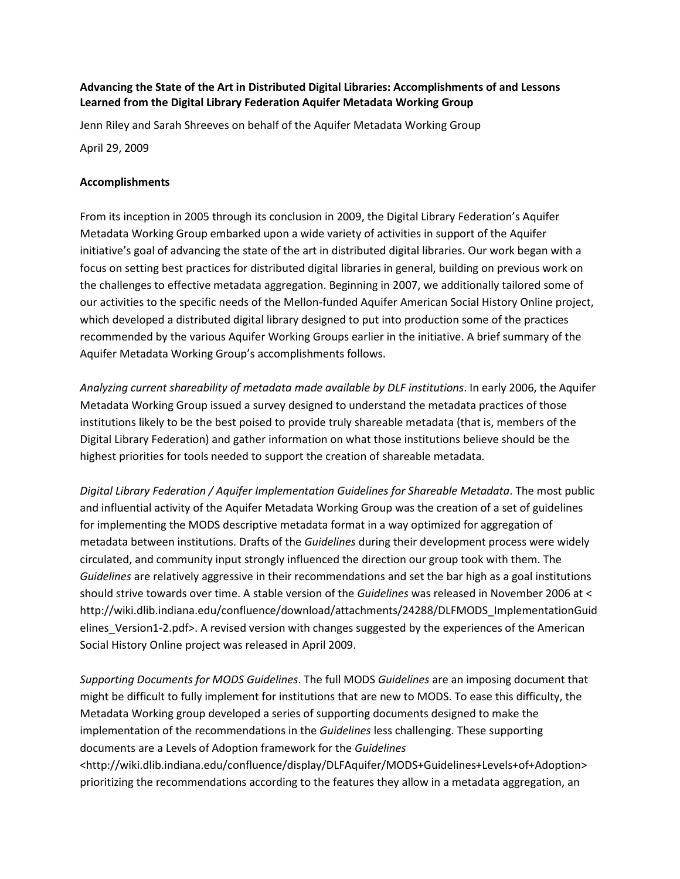## **Advancing the State of the Art in Distributed Digital Libraries: Accomplishments of and Lessons Learned from the Digital Library Federation Aquifer Metadata Working Group**

Jenn Riley and Sarah Shreeves on behalf of the Aquifer Metadata Working Group

April 29, 2009

## **Accomplishments**

From its inception in 2005 through its conclusion in 2009, the Digital Library Federation's Aquifer Metadata Working Group embarked upon a wide variety of activities in support of the Aquifer initiative's goal of advancing the state of the art in distributed digital libraries. Our work began with a focus on setting best practices for distributed digital libraries in general, building on previous work on the challenges to effective metadata aggregation. Beginning in 2007, we additionally tailored some of our activities to the specific needs of the Mellon-funded Aquifer American Social History Online project, which developed a distributed digital library designed to put into production some of the practices recommended by the various Aquifer Working Groups earlier in the initiative. A brief summary of the Aquifer Metadata Working Group's accomplishments follows.

*Analyzing current shareability of metadata made available by DLF institutions*. In early 2006, the Aquifer Metadata Working Group issued a survey designed to understand the metadata practices of those institutions likely to be the best poised to provide truly shareable metadata (that is, members of the Digital Library Federation) and gather information on what those institutions believe should be the highest priorities for tools needed to support the creation of shareable metadata.

*Digital Library Federation / Aquifer Implementation Guidelines for Shareable Metadata*. The most public and influential activity of the Aquifer Metadata Working Group was the creation of a set of guidelines for implementing the MODS descriptive metadata format in a way optimized for aggregation of metadata between institutions. Drafts of the *Guidelines* during their development process were widely circulated, and community input strongly influenced the direction our group took with them. The *Guidelines* are relatively aggressive in their recommendations and set the bar high as a goal institutions should strive towards over time. A stable version of the *Guidelines* was released in November 2006 at < http://wiki.dlib.indiana.edu/confluence/download/attachments/24288/DLFMODS\_ImplementationGuid elines\_Version1-2.pdf>. A revised version with changes suggested by the experiences of the American Social History Online project was released in April 2009.

*Supporting Documents for MODS Guidelines*. The full MODS *Guidelines* are an imposing document that might be difficult to fully implement for institutions that are new to MODS. To ease this difficulty, the Metadata Working group developed a series of supporting documents designed to make the implementation of the recommendations in the *Guidelines* less challenging. These supporting documents are a Levels of Adoption framework for the *Guidelines* <http://wiki.dlib.indiana.edu/confluence/display/DLFAquifer/MODS+Guidelines+Levels+of+Adoption>

prioritizing the recommendations according to the features they allow in a metadata aggregation, an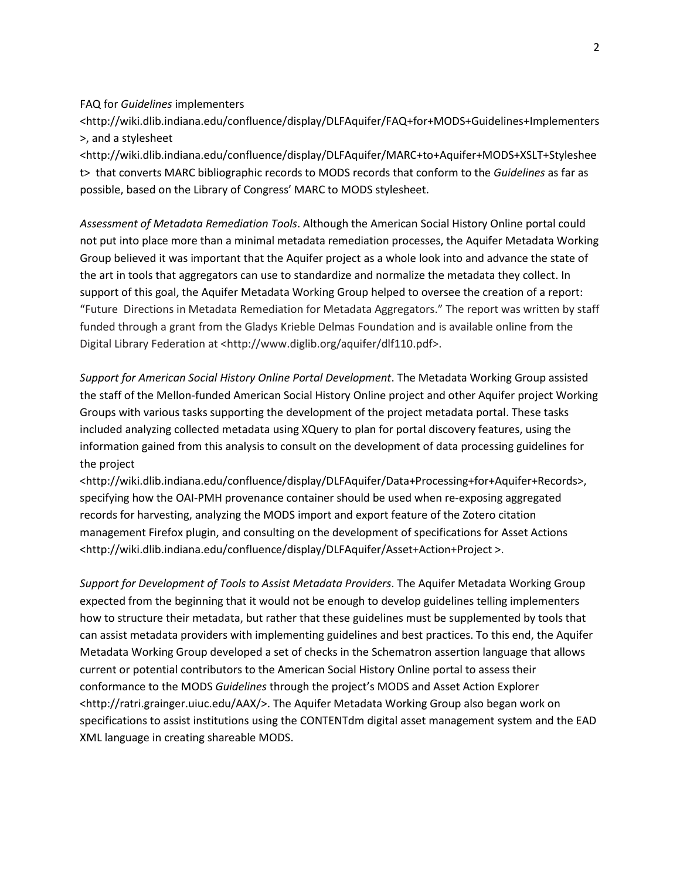FAQ for *Guidelines* implementers

<http://wiki.dlib.indiana.edu/confluence/display/DLFAquifer/FAQ+for+MODS+Guidelines+Implementers >, and a stylesheet

<http://wiki.dlib.indiana.edu/confluence/display/DLFAquifer/MARC+to+Aquifer+MODS+XSLT+Styleshee t> that converts MARC bibliographic records to MODS records that conform to the *Guidelines* as far as possible, based on the Library of Congress' MARC to MODS stylesheet.

*Assessment of Metadata Remediation Tools*. Although the American Social History Online portal could not put into place more than a minimal metadata remediation processes, the Aquifer Metadata Working Group believed it was important that the Aquifer project as a whole look into and advance the state of the art in tools that aggregators can use to standardize and normalize the metadata they collect. In support of this goal, the Aquifer Metadata Working Group helped to oversee the creation of a report: "Future Directions in Metadata Remediation for Metadata Aggregators." The report was written by staff funded through a grant from the Gladys Krieble Delmas Foundation and is available online from the Digital Library Federation at <http://www.diglib.org/aquifer/dlf110.pdf>.

*Support for American Social History Online Portal Development*. The Metadata Working Group assisted the staff of the Mellon-funded American Social History Online project and other Aquifer project Working Groups with various tasks supporting the development of the project metadata portal. These tasks included analyzing collected metadata using XQuery to plan for portal discovery features, using the information gained from this analysis to consult on the development of data processing guidelines for the project

<http://wiki.dlib.indiana.edu/confluence/display/DLFAquifer/Data+Processing+for+Aquifer+Records>, specifying how the OAI-PMH provenance container should be used when re-exposing aggregated records for harvesting, analyzing the MODS import and export feature of the Zotero citation management Firefox plugin, and consulting on the development of specifications for Asset Actions <http://wiki.dlib.indiana.edu/confluence/display/DLFAquifer/Asset+Action+Project >.

*Support for Development of Tools to Assist Metadata Providers*. The Aquifer Metadata Working Group expected from the beginning that it would not be enough to develop guidelines telling implementers how to structure their metadata, but rather that these guidelines must be supplemented by tools that can assist metadata providers with implementing guidelines and best practices. To this end, the Aquifer Metadata Working Group developed a set of checks in the Schematron assertion language that allows current or potential contributors to the American Social History Online portal to assess their conformance to the MODS *Guidelines* through the project's MODS and Asset Action Explorer <http://ratri.grainger.uiuc.edu/AAX/>. The Aquifer Metadata Working Group also began work on specifications to assist institutions using the CONTENTdm digital asset management system and the EAD XML language in creating shareable MODS.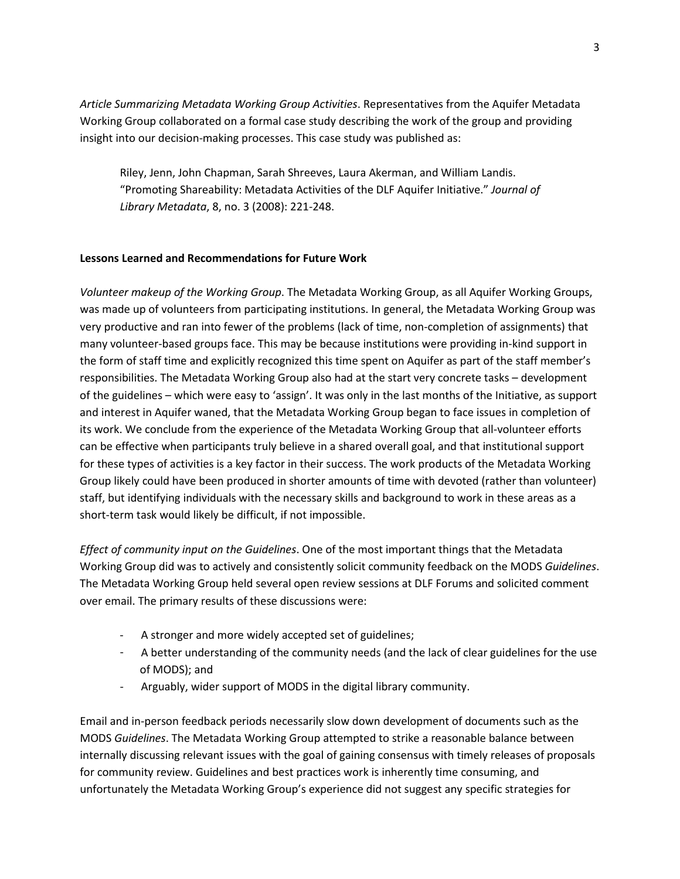*Article Summarizing Metadata Working Group Activities*. Representatives from the Aquifer Metadata Working Group collaborated on a formal case study describing the work of the group and providing insight into our decision-making processes. This case study was published as:

Riley, Jenn, John Chapman, Sarah Shreeves, Laura Akerman, and William Landis. "Promoting Shareability: Metadata Activities of the DLF Aquifer Initiative." *Journal of Library Metadata*, 8, no. 3 (2008): 221-248.

## **Lessons Learned and Recommendations for Future Work**

*Volunteer makeup of the Working Group*. The Metadata Working Group, as all Aquifer Working Groups, was made up of volunteers from participating institutions. In general, the Metadata Working Group was very productive and ran into fewer of the problems (lack of time, non-completion of assignments) that many volunteer-based groups face. This may be because institutions were providing in-kind support in the form of staff time and explicitly recognized this time spent on Aquifer as part of the staff member's responsibilities. The Metadata Working Group also had at the start very concrete tasks – development of the guidelines – which were easy to 'assign'. It was only in the last months of the Initiative, as support and interest in Aquifer waned, that the Metadata Working Group began to face issues in completion of its work. We conclude from the experience of the Metadata Working Group that all-volunteer efforts can be effective when participants truly believe in a shared overall goal, and that institutional support for these types of activities is a key factor in their success. The work products of the Metadata Working Group likely could have been produced in shorter amounts of time with devoted (rather than volunteer) staff, but identifying individuals with the necessary skills and background to work in these areas as a short-term task would likely be difficult, if not impossible.

*Effect of community input on the Guidelines*. One of the most important things that the Metadata Working Group did was to actively and consistently solicit community feedback on the MODS *Guidelines*. The Metadata Working Group held several open review sessions at DLF Forums and solicited comment over email. The primary results of these discussions were:

- A stronger and more widely accepted set of guidelines;
- A better understanding of the community needs (and the lack of clear guidelines for the use of MODS); and
- Arguably, wider support of MODS in the digital library community.

Email and in-person feedback periods necessarily slow down development of documents such as the MODS *Guidelines*. The Metadata Working Group attempted to strike a reasonable balance between internally discussing relevant issues with the goal of gaining consensus with timely releases of proposals for community review. Guidelines and best practices work is inherently time consuming, and unfortunately the Metadata Working Group's experience did not suggest any specific strategies for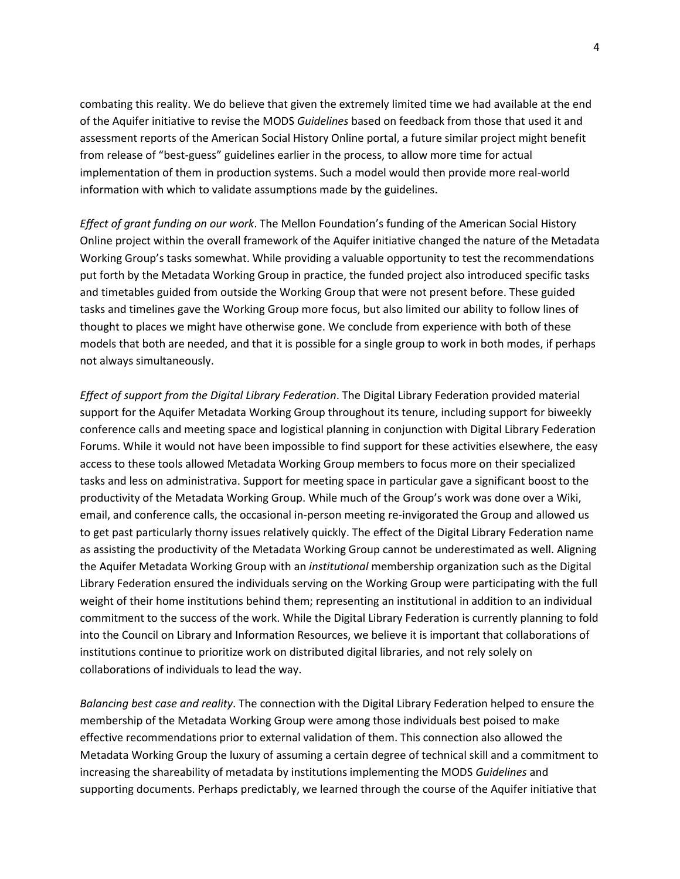combating this reality. We do believe that given the extremely limited time we had available at the end of the Aquifer initiative to revise the MODS *Guidelines* based on feedback from those that used it and assessment reports of the American Social History Online portal, a future similar project might benefit from release of "best-guess" guidelines earlier in the process, to allow more time for actual implementation of them in production systems. Such a model would then provide more real-world information with which to validate assumptions made by the guidelines.

*Effect of grant funding on our work*. The Mellon Foundation's funding of the American Social History Online project within the overall framework of the Aquifer initiative changed the nature of the Metadata Working Group's tasks somewhat. While providing a valuable opportunity to test the recommendations put forth by the Metadata Working Group in practice, the funded project also introduced specific tasks and timetables guided from outside the Working Group that were not present before. These guided tasks and timelines gave the Working Group more focus, but also limited our ability to follow lines of thought to places we might have otherwise gone. We conclude from experience with both of these models that both are needed, and that it is possible for a single group to work in both modes, if perhaps not always simultaneously.

*Effect of support from the Digital Library Federation*. The Digital Library Federation provided material support for the Aquifer Metadata Working Group throughout its tenure, including support for biweekly conference calls and meeting space and logistical planning in conjunction with Digital Library Federation Forums. While it would not have been impossible to find support for these activities elsewhere, the easy access to these tools allowed Metadata Working Group members to focus more on their specialized tasks and less on administrativa. Support for meeting space in particular gave a significant boost to the productivity of the Metadata Working Group. While much of the Group's work was done over a Wiki, email, and conference calls, the occasional in-person meeting re-invigorated the Group and allowed us to get past particularly thorny issues relatively quickly. The effect of the Digital Library Federation name as assisting the productivity of the Metadata Working Group cannot be underestimated as well. Aligning the Aquifer Metadata Working Group with an *institutional* membership organization such as the Digital Library Federation ensured the individuals serving on the Working Group were participating with the full weight of their home institutions behind them; representing an institutional in addition to an individual commitment to the success of the work. While the Digital Library Federation is currently planning to fold into the Council on Library and Information Resources, we believe it is important that collaborations of institutions continue to prioritize work on distributed digital libraries, and not rely solely on collaborations of individuals to lead the way.

*Balancing best case and reality*. The connection with the Digital Library Federation helped to ensure the membership of the Metadata Working Group were among those individuals best poised to make effective recommendations prior to external validation of them. This connection also allowed the Metadata Working Group the luxury of assuming a certain degree of technical skill and a commitment to increasing the shareability of metadata by institutions implementing the MODS *Guidelines* and supporting documents. Perhaps predictably, we learned through the course of the Aquifer initiative that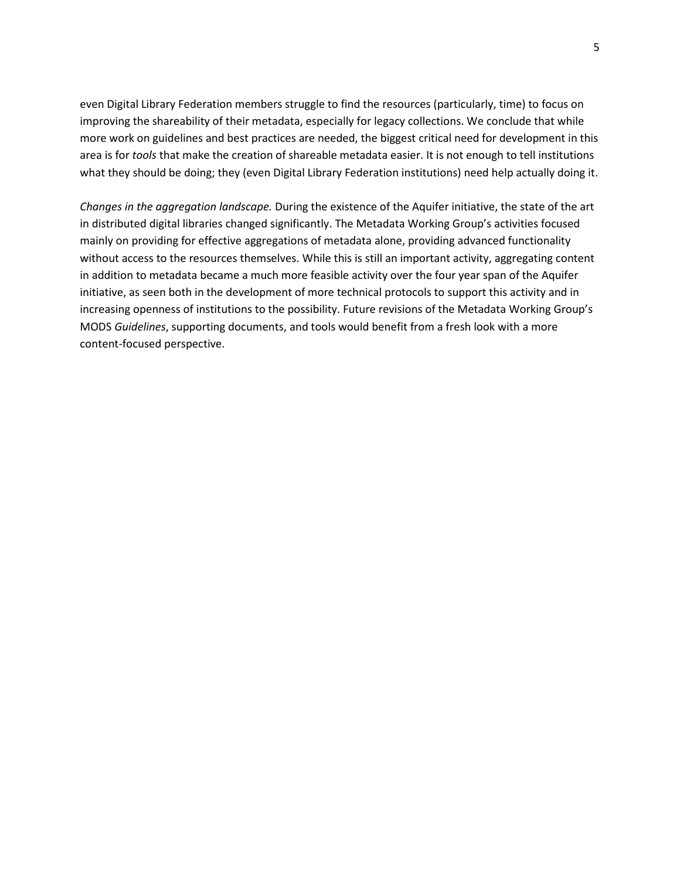even Digital Library Federation members struggle to find the resources (particularly, time) to focus on improving the shareability of their metadata, especially for legacy collections. We conclude that while more work on guidelines and best practices are needed, the biggest critical need for development in this area is for *tools* that make the creation of shareable metadata easier. It is not enough to tell institutions what they should be doing; they (even Digital Library Federation institutions) need help actually doing it.

*Changes in the aggregation landscape.* During the existence of the Aquifer initiative, the state of the art in distributed digital libraries changed significantly. The Metadata Working Group's activities focused mainly on providing for effective aggregations of metadata alone, providing advanced functionality without access to the resources themselves. While this is still an important activity, aggregating content in addition to metadata became a much more feasible activity over the four year span of the Aquifer initiative, as seen both in the development of more technical protocols to support this activity and in increasing openness of institutions to the possibility. Future revisions of the Metadata Working Group's MODS *Guidelines*, supporting documents, and tools would benefit from a fresh look with a more content-focused perspective.